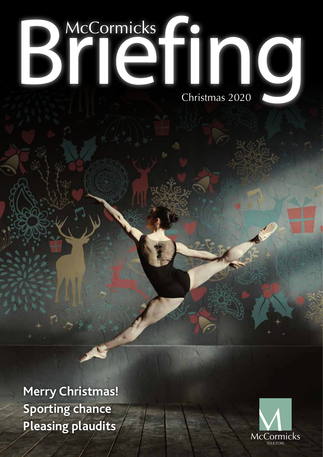# BYICINO

**Merry Christmas! Sporting chance Pleasing plaudits**

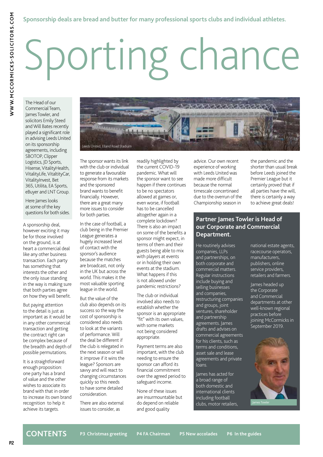# Sporting chance

The Head of our Commercial Team, James Towler, and solicitors Emily Steed and Will Bates recently played a significant role in advising Leeds United on its sponsorship agreements, including SBOTOP, Clipper Logistics, JD Sports, Hisense, VitalityHealth, VitalityLife, VitaltityCar, VitalityInvest, Bet 365, Utilita, EA Sports, eBuyer and LNT Group.

Here James looks at some of the key questions for both sides.

A sponsorship deal, however exciting it may be for those involved on the ground, is at heart a commercial deal like any other business transaction. Each party has something that interests the other and the only issue standing in the way is making sure that both parties agree on how they will benefit.

But paying attention to the detail is just as important as it would be in any other commercial transaction and getting the contract right can be complex because of the breadth and depth of possible permutations.

It is a straightforward enough proposition: one party has a brand of value and the other wishes to associate its brand with that in order to increase its own brand recognition to help it achieve its targets.



The sponsor wants its link with the club or individual to generate a favourable response from its markets and the sponsored brand wants to benefit financially. However, there are a great many more issues to consider for both parties.

In the case of football, a club being in the Premier League generates a hugely increased level of contact with the sponsor's audience because the matches are broadcast, not only in the UK but across the world. This makes it the most valuable sporting league in the world.

But the value of the club also depends on its success so the way the cost of sponsorship is considered also needs to look at the variants of performance. Will the deal be different if the club is relegated in the next season or will it improve if it wins the league? Sponsors are savvy and will react to changing circumstances quickly so this needs to have some detailed consideration.

There are also external issues to consider, as

readily highlighted by the current COVID-19 pandemic. What will the sponsor want to see happen if there continues to be no spectators allowed at games or, even worse, if football has to be cancelled altogether again in a complete lockdown? There is also an impact on some of the benefits a sponsor might expect, in terms of them and their guests being able to mix with players at events or in holding their own events at the stadium. What happens if this is not allowed under pandemic restrictions?

The club or individual involved also needs to establish whether the sponsor is an appropriate "fit" with its own values, with some markets not being considered appropriate.

Payment terms are also important, with the club needing to ensure the sponsor can afford its financial commitment over the agreed period to safeguard income.

None of these issues are insurmountable but do depend on reliable and good quality

advice. Our own recent experience of working with Leeds United was made more difficult because the normal timescale concertinaed due to the overrun of the Championship season in

the pandemic and the shorter than usual break before Leeds joined the Premier League but it certainly proved that if all parties have the will, there is certainly a way to achieve great deals!

#### **Partner James Towler is Head of our Corporate and Commercial Department.**

He routinely advises companies, LLPs and partnerships, on both corporate and commercial matters. Regular instructions include buying and selling businesses and companies, restructuring companies and groups, joint ventures, shareholder and partnership agreements. James drafts and advises on commercial agreements for his clients, such as terms and conditions, asset sale and lease agreements and private loans.

James has acted for a broad range of both domestic and international clients including football clubs, motor retailers, national estate agents, racecourse operators, manufacturers, publishers, online service providers, retailers and farmers.

James headed up the Corporate and Commercial departments at other well-known regional practices before joining McCormicks in September 2019.

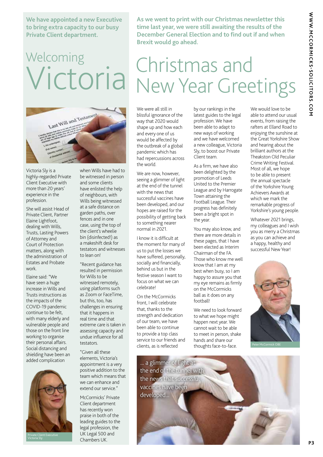**We have appointed a new Executive to bring extra capacity to our busy Private Client department.**

### **Welcoming** Victoria



Victoria Sly is a highly-regarded Private Client Executive with more than 20 years' experience in the profession.

She will assist Head of Private Client, Partner Elaine Lightfoot, dealing with Wills, Trusts, Lasting Powers of Attorney and Court of Protection matters, along with the administration of Estates and Probate work.

Elaine said: "We have seen a huge increase in Wills and Trusts instructions as the impacts of the COVID-19 pandemic continue to be felt, with many elderly and vulnerable people and those on the front line working to organise their personal affairs. Social distancing and shielding have been an added complication



when Wills have had to be witnessed in person and some clients have enlisted the help of neighbours, with Wills being witnessed at a safe distance on garden paths, over fences and in one case, using the top of the client's wheelie bin (disinfected!) as a makeshift desk for testators and witnesses to lean on!

"Recent guidance has resulted in permission for Wills to be witnessed remotely, using platforms such as Zoom or FaceTime, but this, too, has challenges in ensuring that it happens in real time and that extreme care is taken in assessing capacity and undue influence for all testators.

"Given all these elements, Victoria's appointment is a very positive addition to the team which means that we can enhance and extend our service."

McCormicks' Private Client department has recently won praise in both of the leading guides to the legal profession, the UK Legal 500 and Chambers UK.

**As we went to print with our Christmas newsletter this time last year, we were still awaiting the results of the December General Election and to find out if and when Brexit would go ahead.** 

### Christmas and New Year Greetings

We were all still in blissful ignorance of the way that 2020 would shape up and how each and every one of us would be affected by the outbreak of a global pandemic which has had repercussions across the world.

We are now, however, seeing a glimmer of light at the end of the tunnel with the news that successful vaccines have been developed, and our hopes are raised for the possibility of getting back to something nearer normal in 2021.

I know it is difficult at the moment for many of us to put the losses we have suffered, personally, socially and financially, behind us but in the festive season I want to focus on what we can celebrate!

On the McCormicks front, I will celebrate that, thanks to the strength and dedication of our team, we have been able to continue to provide a top class service to our friends and clients, as is reflected

by our rankings in the latest guides to the legal profession. We have been able to adapt to new ways of working and we have welcomed a new colleague, Victoria Sly, to boost our Private Client team.

As a firm, we have also been delighted by the promotion of Leeds United to the Premier League and by Harrogate Town attaining the Football League. Their progress has definitely been a bright spot in the year.

You may also know, and there are more details in these pages, that I have been elected as Interim Chairman of the FA. Those who know me well know that I am at my best when busy, so I am happy to assure you that my eye remains as firmly on the McCormicks ball as it does on any football!

We need to look forward to what we hope might happen next year. We cannot wait to be able to meet in person, shake hands and share our thoughts face-to-face.

We would love to be able to attend our usual events, from raising the rafters at Elland Road to enjoying the sunshine at the Great Yorkshire Show and hearing about the brilliant authors at the Theakston Old Peculiar Crime Writing Festival. Most of all, we hope to be able to present the annual spectacle of the Yorkshire Young Achievers Awards at which we mark the remarkable progress of Yorkshire's young people.

Whatever 2021 brings, my colleagues and I wish you as merry a Christmas as you can achieve and a happy, healthy and successful New Year!



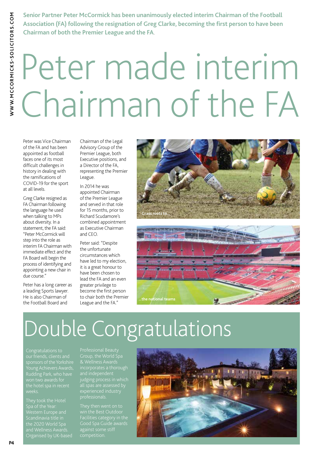**Senior Partner Peter McCormick has been unanimously elected interim Chairman of the Football Association (FA) following the resignation of Greg Clarke, becoming the first person to have been Chairman of both the Premier League and the FA**.

### Peter made interim Chairman of the FA

Peter was Vice Chairman of the FA and has been appointed as football faces one of its most difficult challenges in history in dealing with the ramifications of COVID-19 for the sport at all levels.

Greg Clarke resigned as FA Chairman following the language he used when talking to MPs about diversity. In a statement, the FA said: "Peter McCormick will step into the role as interim FA Chairman with immediate effect and the FA Board will begin the process of identifying and appointing a new chair in due course."

Peter has a long career as a leading Sports lawyer. He is also Chairman of the Football Board and

Chairman of the Legal Advisory Group of the Premier League, both Executive positions, and a Director of the FA, representing the Premier League.

In 2014 he was appointed Chairman of the Premier League and served in that role for 15 months, prior to Richard Scudamore's combined appointment as Executive Chairman and CEO.

Peter said: "Despite the unfortunate circumstances which have led to my election, it is a great honour to have been chosen to lead the FA and an even greater privilege to become the first person to chair both the Premier League and the FA."





### Double Congratulations

and Wellness Awards.

& Wellness Awards incorporates a thorough judging process in which professionals.

Facilities category in the against some stiff

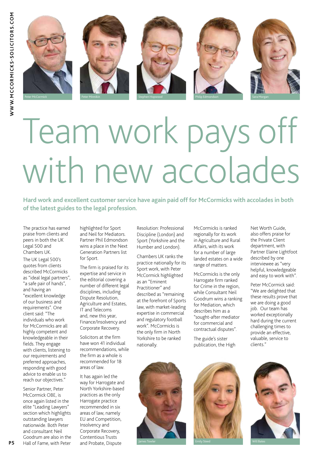

## Team work pays off with new accolades

**Hard work and excellent customer service have again paid off for McCormicks with accolades in both of the latest guides to the legal profession.**

The practice has earned praise from clients and peers in both the UK Legal 500 and Chambers UK. The UK Legal 500's quotes from clients described McCormicks as "ideal legal partners",

"a safe pair of hands", and having an "excellent knowledge of our business and requirements". One client said: "The individuals who work for McCormicks are all highly competent and knowledgeable in their fields. They engage with clients, listening to our requirements and preferred approaches, responding with good advice to enable us to reach our objectives."

Senior Partner, Peter McCormick OBE, is once again listed in the elite "Leading Lawyers" section which highlights outstanding lawyers nationwide. Both Peter and consultant Neil Goodrum are also in the Hall of Fame, with Peter highlighted for Sport and Neil for Mediators. Partner Phil Edmondson wins a place in the Next Generation Partners list for Sport.

The firm is praised for its expertise and service in the editorial covering a number of different legal disciplines, including Dispute Resolution, Agriculture and Estates, IT and Telecoms and, new this year, Finance/Insolvency and Corporate Recovery.

Solicitors at the firm have won 41 individual recommendations, while the firm as a whole is recommended for 18 areas of law.

It has again led the way for Harrogate and North Yorkshire-based practices as the only Harrogate practice recommended in six areas of law, namely EU and Competition, Insolvency and Corporate Recovery, Contentious Trusts and Probate, Dispute

Resolution: Professional Discipline (London) and Sport (Yorkshire and the Humber and London).

Chambers UK ranks the practice nationally for its Sport work, with Peter McCormick highlighted as an "Eminent Practitioner" and described as "remaining at the forefront of Sports law, with market-leading expertise in commercial and regulatory football work". McCormicks is the only firm in North Yorkshire to be ranked nationally.

McCormicks is ranked regionally for its work in Agriculture and Rural Affairs, with its work for a number of large landed estates on a wide range of matters.

McCormicks is the only Harrogate firm ranked for Crime in the region, while Consultant Neil Goodrum wins a ranking for Mediation, which describes him as a "sought-after mediator for commercial and contractual disputes".

The guide's sister publication, the High

Net Worth Guide, also offers praise for the Private Client department, with Partner Elaine Lightfoot described by one interviewee as "very helpful, knowledgeable and easy to work with".

Peter McCormick said: "We are delighted that these results prove that we are doing a good job. Our team has worked exceptionally hard during the current challenging times to provide an effective, valuable, service to clients."





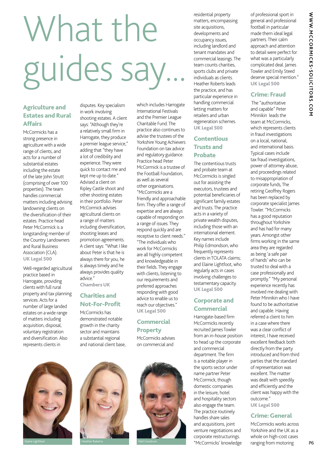# What the guides say.

disputes. Key specialism

#### Agriculture and Estates and Rural Affairs

McCormicks has a strong presence in agriculture with a wide range of clients, and acts for a number of substantial estates including the estate of the late John Strutt (comprising of over 100 properties). The team handles commercial matters including advising landowning clients on the diversification of their estates. Practice head Peter McCormick is a longstanding member of the Country Landowners and Rural Business Association (CLA). UK Legal 500

Well-regarded agricultural practice based in Harrogate, providing clients with full rural property and tax planning services. Acts for a number of large landed estates on a wide range of matters including acquisition, disposal, voluntary registration and diversification. Also represents clients in

in work involving shooting estates. A client says: "Although they're a relatively small firm in Harrogate, they produce a premier league service," adding that "they have a lot of credibility and experience. They were quick to contact me and

kept me up to date." Advised a client on Ripley Castle shoot and other shooting estates in their portfolio. Peter McCormick advises agricultural clients on a range of matters including diversification, shooting leases and promotion agreements. A client says: "What I like about Peter is that he is always there for you, he is always timely and he always provides quality advice." Chambers UK

#### Charities and Not-For-Profit

McCormicks has demonstrated notable growth in the charity sector and maintains a substantial regional and national client base, which includes Harrogate International Festivals and the Premier League Charitable Fund. The practice also continues to advise the trustees of the Yorkshire Young Achievers Foundation on tax advice and regulatory guidance. Practice head Peter McCormick is a trustee of the Football Foundation, as well as several other organisations. "McCormicks are a friendly and approachable firm. They offer a range of expertise and are always capable of responding on a range of issues. They respond quickly and are receptive to client needs." "The individuals who work for McCormicks are all highly competent and knowledgeable in their fields. They engage with clients, listening to our requirements and preferred approaches responding with good advice to enable us to reach our objectives." UK Legal 500

#### **Commercial Property**

McCormicks advises on commercial and





residential property matters, encompassing site acquisitions, developments and occupancy issues, including landlord and tenant mandates and commercial leasings. The team counts charities, sports clubs and private individuals as clients. Heather Roberts leads the practice, and has particular experience in handling commercial letting matters for retailers and urban regeneration schemes. UK Legal 500

#### **Contentious** Trusts and Probate

The contentious trusts and probate team at McCormicks is singled out for assisting the executors, trustees and potential beneficiaries of significant family estates and trusts. The practice acts in a variety of private wealth disputes, including those with an international element. Key names include Philip Edmondson, who frequently represents clients in TOLATA claims; and Elaine Lightfoot, who regularly acts in cases involving challenges to testamentary capacity. UK Legal 500

#### Corporate and **Commercial**

Harrogate-based firm McCormicks recently recruited James Towler from an in-house position to head up the corporate and commercial department. The firm is a notable player in the sports sector under name partner Peter McCormick, though domestic companies in the leisure, hotel and hospitality sectors also engage the team. The practice routinely handles share sales and acquisitions, joint venture negotiations and corporate restructurings. "McCormicks' knowledge

of professional sport in general and professional football in particular made them ideal legal partners. Their calm approach and attention to detail were perfect for what was a particularly complicated deal. James Towler and Emily Steed deserve special mention." UK Legal 500

#### Crime: Fraud

 The "authoritative and capable" Peter Minnikin leads the team at McCormicks, which represents clients in fraud investigations on a local, national, and international basis. Typical cases include tax fraud investigations, power of attorney abuse, and proceedings related to misappropriation of corporate funds, The retiring Geoffrey Rogers has been replaced by corporate specialist James Towler. "McCormicks has a good reputation throughout Yorkshire and has had for many years. Amongst other firms working in the same area they are regarded as being 'a safe pair of hands' who can be trusted to deal with a case professionally and promptly." "My personal experience recently has involved me dealing with Peter Minnikin who I have found to be authoritative and capable. Having referred a client to him in a case where there was a clear conflict of interest, I have received excellent feedback both directly from the party introduced and from third parties that the standard of representation was excellent. The matter was dealt with speedily and efficiently and the client was happy with the outcome." UK Legal 500

#### Crime: General

McCormicks works across Yorkshire and the UK as a whole on high-cost cases ranging from motoring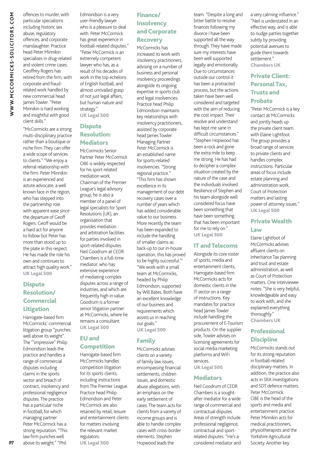offences to murder, with particular specialisms including historic sex abuse, regulatory offences, and corporate manslaughter. Practice head Peter Minnikin specialises in drug-related and violent crime cases. Geoffrey Rogers has retired from the firm, with corporate and fraudrelated work handled by new commercial head James Towler. "Peter Minnikin is hard working and insightful with good client skills."

"McCormicks are a strong multi-disciplinary practice rather than a boutique or niche firm. They can offer a wide scope of services to clients." "We enjoy a referral relationship with the firm. Peter Minnikin is an experienced and astute advocate, a well known face in the region, who has stepped into the partnership role with apparent ease since the departure of Geoff Rogers. Geoff would be a hard act for anyone to follow but Peter has more than stood up to the plate in this respect. He has made the role his own and continues to attract high quality work." UK Legal 500

#### **Dispute** Resolution/ **Commercial** Litigation

Harrogate-based firm McCormicks' commercial litigation group "punches well above its weight". The "'impressive" Philip Edmondson leads the practice and handles a range of commercial disputes including claims in the sports sector and breach of contract, insolvency and professional negligence disputes. The practice has a particular niche in football, for which managing partner Peter McCormick has a strong reputation. "This law firm punches well above its weight." "Phil

Edmondson is a very user-friendly lawyer who is a pleasure to deal with. Peter McCormick has great experience in football-related disputes." "Peter McCormick is an extremely competent lawyer who has, as a result of his decades of work in the top echelons of English football, and almost unrivalled grasp of not just legal affairs, but human nature and strategy."

UK Legal 500

#### **Dispute** Resolution: Mediators

McCormicks Senior Partner Peter McCormick OBE is widely respected for his sport-related mediation work. Chairman of the Premier League's legal advisory group, he is also a member of a panel of legal specialists for Sport Resolutions (UK), an organisation that provides mediation and arbitration facilities for parties involved in sport-related disputes. Neil Goodrum at CEDR Chambers is a full-time mediator, who has extensive experience of mediating complex disputes across a range of industries, and which are frequently high in value. Goodrum is a former senior litigation partner at McCormicks, where he remains a consultant. UK Legal 500

#### EU and **Competition**

Harrogate-based firm McCormicks handles competition litigation for its sports clients, including instructions from The Premier League. Practice head Philip Edmondson and Peter McCormick are also retained by retail, leisure and entertainment clients for matters involving the relevant market regulators. UK Legal 500

#### Finance/ **Insolvency** and Corporate **Recovery**

McCormicks has increased its work with insolvency practitioners, advising on a number of business and personal insolvency proceedings alongside its ongoing expertise in sports club and legal insolvencies. Practice head Philip Edmondson maintains key relationships with insolvency practitioners, assisted by corporate head James Towler. Managing Partner Peter McCormick is an established name for sports-related insolvencies. "Strong regional practice." "This firm has shown excellence in its management of our debt recovery cases over a number of years which has added considerable value to our business. More recently the team has been expanded to include the handling of smaller claims as back-up to our in-house operation, this has proved to be highly successful."' "We work with a small team at McCormicks, headed by Philip Edmondson, supported by Will Bates. Both have an excellent knowledge of our business and requirements which assists us in reaching our goals." UK Legal 500

#### Family

McCormicks advises clients on a variety of family law issues, encompassing financial settlements, children issues, and domestic abuse allegations, with an emphasis on the early settlement of cases. The team acts for clients from a variety of income groups and is able to handle complex cases with cross-border elements. Stephen Hopwood leads the

team. "Despite a long and bitter battle to resolve finances following my divorce I have been supported all the way through. They have made sure my interests have been well supported legally and emotionally. Due to circumstances outside our control it has been a protracted process, but the actions taken have been well considered and targeted with the aim of reducing the cost impact. Their resolve and understand has kept me sane in difficult circumstances." "Stephen Hopwood has been a rock and gone the extra mile to keep me strong. He has had to decipher a complex situation created by the nature of the case and the individuals involved. Resilience of Stephen and his team alongside well considered focus have been something that have been something that has been important for me to rely on." UK Legal 500

#### IT and Telecoms

Alongside its core roster of sports, media and entertainment clients, Harrogate-based firm McCormicks acts for domestic clients in the IT sector on a range of instructions. Key mandates for practice head James Towler include handling the procurement of E-Tourism products. On the supplier side, Towler advises on licensing agreements for social media marketing platforms and WiFi services. UK Legal 500

#### Mediators

Neil Goodrum of CEDR Chambers is a soughtafter mediator for a wide range of commercial and contractual disputes. Areas of strength include professional negligence, contractual and sportrelated disputes. "He's a considered mediator and a very calming influence." "Neil is understated in an effective way, and is able to nudge parties together subtly by providing potential avenues to guide them towards settlement." Chambers UK

#### Private Client: Personal Tax, Trusts and Probate

"Peter McCormick is a key contact at McCormicks and jointly heads up the private client team with Elaine Lightfoot. The group provides a broad range of services to private clients and handles complex instructions. Particular areas of focus include estate planning and administration work, Court of Protection matters and lasting power of attorney issues." UK Legal 500

#### Private Wealth Law

Elaine Lightfoot of McCormicks advises affluent clients on Inheritance Tax planning and trust and estate administration, as well as Court of Protection matters. One interviewee notes: "She is very helpful, knowledgeable and easy to work with, and she explained everything thoroughly." Chambers UK

#### Professional **Discipline**

McCormicks stands out for its strong reputation in football-related disciplinary matters. In addition, the practice also acts in SRA investigations and SDT defence matters. Peter McCormick OBE is the head of the sports and media and entertainment practice. Peter Minnikin acts for medical practitioners, physiotherapists and the Yorkshire Agricultural Society. Another key